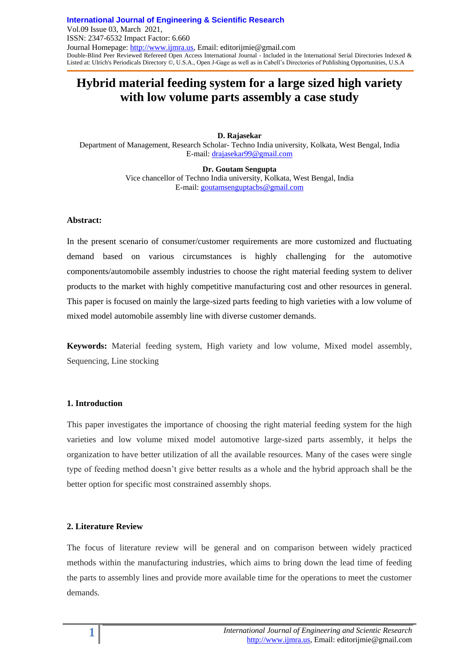# **Hybrid material feeding system for a large sized high variety with low volume parts assembly a case study**

**D. Rajasekar** Department of Management, Research Scholar- Techno India university, Kolkata, West Bengal, India E-mail[: drajasekar99@gmail.com](mailto:drajasekar99@gmail.com)

> **Dr. Goutam Sengupta** Vice chancellor of Techno India university, Kolkata, West Bengal, India E-mail[: goutamsenguptacbs@gmail.com](mailto:goutamsenguptacbs@gmail.com)

#### **Abstract:**

In the present scenario of consumer/customer requirements are more customized and fluctuating demand based on various circumstances is highly challenging for the automotive components/automobile assembly industries to choose the right material feeding system to deliver products to the market with highly competitive manufacturing cost and other resources in general. This paper is focused on mainly the large-sized parts feeding to high varieties with a low volume of mixed model automobile assembly line with diverse customer demands.

**Keywords:** Material feeding system, High variety and low volume, Mixed model assembly, Sequencing, Line stocking

#### **1. Introduction**

This paper investigates the importance of choosing the right material feeding system for the high varieties and low volume mixed model automotive large-sized parts assembly, it helps the organization to have better utilization of all the available resources. Many of the cases were single type of feeding method doesn't give better results as a whole and the hybrid approach shall be the better option for specific most constrained assembly shops.

#### **2. Literature Review**

The focus of literature review will be general and on comparison between widely practiced methods within the manufacturing industries, which aims to bring down the lead time of feeding the parts to assembly lines and provide more available time for the operations to meet the customer demands.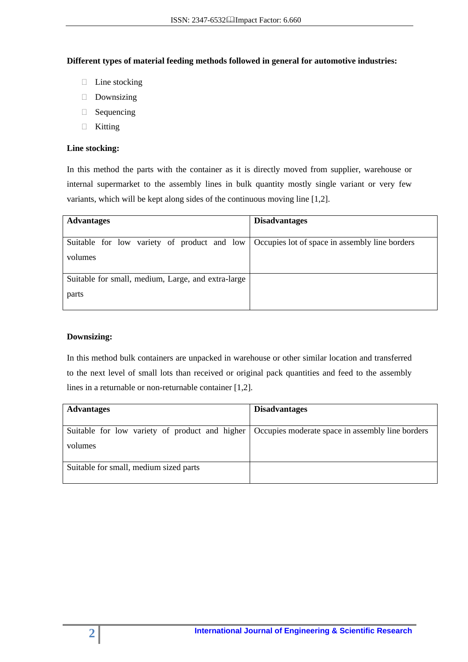## **Different types of material feeding methods followed in general for automotive industries:**

- $\Box$  Line stocking
- ⮚ Downsizing
- ⮚ Sequencing
- ⮚ Kitting

## **Line stocking:**

In this method the parts with the container as it is directly moved from supplier, warehouse or internal supermarket to the assembly lines in bulk quantity mostly single variant or very few variants, which will be kept along sides of the continuous moving line [1,2].

| <b>Advantages</b>                                                                          | <b>Disadvantages</b> |
|--------------------------------------------------------------------------------------------|----------------------|
|                                                                                            |                      |
| Suitable for low variety of product and low Occupies lot of space in assembly line borders |                      |
| volumes                                                                                    |                      |
| Suitable for small, medium, Large, and extra-large                                         |                      |
| parts                                                                                      |                      |

## **Downsizing:**

In this method bulk containers are unpacked in warehouse or other similar location and transferred to the next level of small lots than received or original pack quantities and feed to the assembly lines in a returnable or non-returnable container [1,2].

| <b>Advantages</b>                                                                                 | <b>Disadvantages</b> |
|---------------------------------------------------------------------------------------------------|----------------------|
|                                                                                                   |                      |
| Suitable for low variety of product and higher   Occupies moderate space in assembly line borders |                      |
| volumes                                                                                           |                      |
| Suitable for small, medium sized parts                                                            |                      |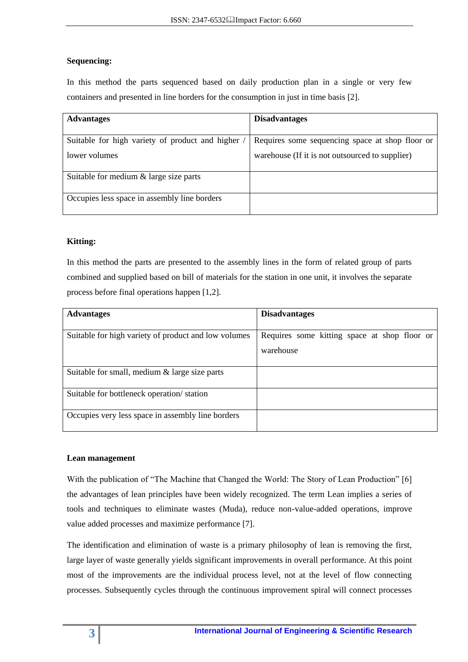# **Sequencing:**

In this method the parts sequenced based on daily production plan in a single or very few containers and presented in line borders for the consumption in just in time basis [2].

| <b>Advantages</b>                               | <b>Disadvantages</b>                            |
|-------------------------------------------------|-------------------------------------------------|
|                                                 |                                                 |
| Suitable for high variety of product and higher | Requires some sequencing space at shop floor or |
| lower volumes                                   | warehouse (If it is not outsourced to supplier) |
| Suitable for medium $&$ large size parts        |                                                 |
| Occupies less space in assembly line borders    |                                                 |

# **Kitting:**

In this method the parts are presented to the assembly lines in the form of related group of parts combined and supplied based on bill of materials for the station in one unit, it involves the separate process before final operations happen [1,2].

| <b>Advantages</b>                                    | <b>Disadvantages</b>                         |
|------------------------------------------------------|----------------------------------------------|
|                                                      |                                              |
| Suitable for high variety of product and low volumes | Requires some kitting space at shop floor or |
|                                                      | warehouse                                    |
|                                                      |                                              |
| Suitable for small, medium $\&$ large size parts     |                                              |
| Suitable for bottleneck operation/station            |                                              |
| Occupies very less space in assembly line borders    |                                              |

## **Lean management**

With the publication of "The Machine that Changed the World: The Story of Lean Production" [6] the advantages of lean principles have been widely recognized. The term Lean implies a series of tools and techniques to eliminate wastes (Muda), reduce non-value-added operations, improve value added processes and maximize performance [7].

The identification and elimination of waste is a primary philosophy of lean is removing the first, large layer of waste generally yields significant improvements in overall performance. At this point most of the improvements are the individual process level, not at the level of flow connecting processes. Subsequently cycles through the continuous improvement spiral will connect processes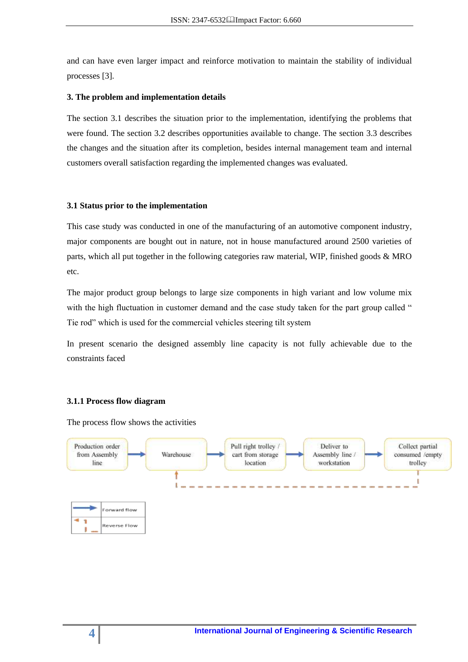and can have even larger impact and reinforce motivation to maintain the stability of individual processes [3].

#### **3. The problem and implementation details**

The section 3.1 describes the situation prior to the implementation, identifying the problems that were found. The section 3.2 describes opportunities available to change. The section 3.3 describes the changes and the situation after its completion, besides internal management team and internal customers overall satisfaction regarding the implemented changes was evaluated.

#### **3.1 Status prior to the implementation**

This case study was conducted in one of the manufacturing of an automotive component industry, major components are bought out in nature, not in house manufactured around 2500 varieties of parts, which all put together in the following categories raw material, WIP, finished goods & MRO etc.

The major product group belongs to large size components in high variant and low volume mix with the high fluctuation in customer demand and the case study taken for the part group called " Tie rod" which is used for the commercial vehicles steering tilt system

In present scenario the designed assembly line capacity is not fully achievable due to the constraints faced

#### **3.1.1 Process flow diagram**

The process flow shows the activities

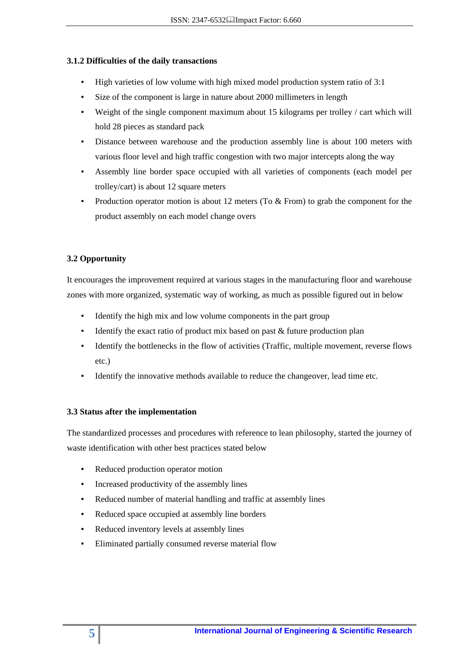## **3.1.2 Difficulties of the daily transactions**

- High varieties of low volume with high mixed model production system ratio of 3:1
- Size of the component is large in nature about 2000 millimeters in length
- Weight of the single component maximum about 15 kilograms per trolley / cart which will hold 28 pieces as standard pack
- Distance between warehouse and the production assembly line is about 100 meters with various floor level and high traffic congestion with two major intercepts along the way
- Assembly line border space occupied with all varieties of components (each model per trolley/cart) is about 12 square meters
- Production operator motion is about 12 meters (To  $&$  From) to grab the component for the product assembly on each model change overs

# **3.2 Opportunity**

It encourages the improvement required at various stages in the manufacturing floor and warehouse zones with more organized, systematic way of working, as much as possible figured out in below

- Identify the high mix and low volume components in the part group
- Identify the exact ratio of product mix based on past  $\&$  future production plan
- Identify the bottlenecks in the flow of activities (Traffic, multiple movement, reverse flows etc.)
- Identify the innovative methods available to reduce the changeover, lead time etc.

#### **3.3 Status after the implementation**

The standardized processes and procedures with reference to lean philosophy, started the journey of waste identification with other best practices stated below

- Reduced production operator motion
- Increased productivity of the assembly lines
- Reduced number of material handling and traffic at assembly lines
- Reduced space occupied at assembly line borders
- Reduced inventory levels at assembly lines
- Eliminated partially consumed reverse material flow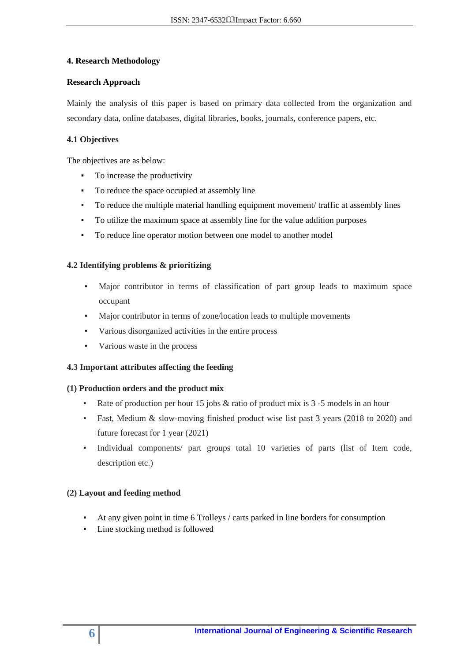## **4. Research Methodology**

## **Research Approach**

Mainly the analysis of this paper is based on primary data collected from the organization and secondary data, online databases, digital libraries, books, journals, conference papers, etc.

## **4.1 Objectives**

The objectives are as below:

- To increase the productivity
- To reduce the space occupied at assembly line
- To reduce the multiple material handling equipment movement/ traffic at assembly lines
- To utilize the maximum space at assembly line for the value addition purposes
- To reduce line operator motion between one model to another model

## **4.2 Identifying problems & prioritizing**

- Major contributor in terms of classification of part group leads to maximum space occupant
- Major contributor in terms of zone/location leads to multiple movements
- Various disorganized activities in the entire process
- Various waste in the process

## **4.3 Important attributes affecting the feeding**

## **(1) Production orders and the product mix**

- Rate of production per hour 15 jobs & ratio of product mix is 3 -5 models in an hour
- Fast, Medium & slow-moving finished product wise list past 3 years (2018 to 2020) and future forecast for 1 year (2021)
- Individual components/ part groups total 10 varieties of parts (list of Item code, description etc.)

## **(2) Layout and feeding method**

- At any given point in time 6 Trolleys / carts parked in line borders for consumption
- Line stocking method is followed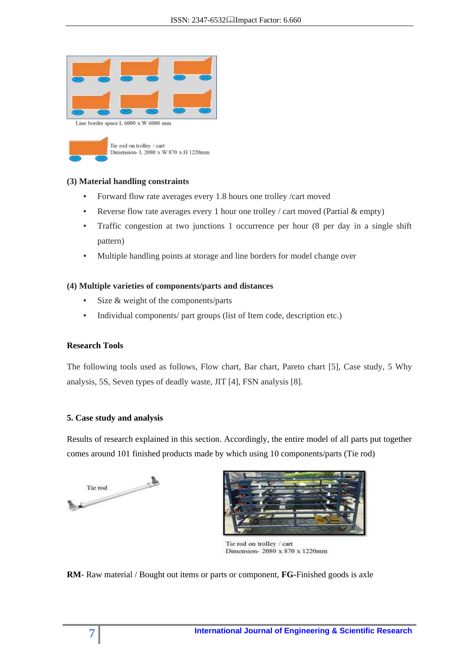



#### **(3) Material handling constraints**

- **•** Forward flow rate averages every 1.8 hours one trolley /cart moved
- **•** Reverse flow rate averages every 1 hour one trolley / cart moved (Partial  $\&$  empty)
- Traffic congestion at two junctions 1 occurrence per hour (8 per day in a single shift pattern)
- Multiple handling points at storage and line borders for model change over

## **(4) Multiple varieties of components/parts and distances**

- Size  $&$  weight of the components/parts
- Individual components/ part groups (list of Item code, description etc.)

#### **Research Tools**

The following tools used as follows, Flow chart, Bar chart, Pareto chart [5], Case study, 5 Why analysis, 5S, Seven types of deadly waste, JIT [4], FSN analysis [8].

#### **5. Case study and analysis**

Results of research explained in this section. Accordingly, the entire model of all parts put together comes around 101 finished products made by which using 10 components/parts (Tie rod)





Tie rod on trolley / cart Dimension- 2080 x 870 x 1220mm

**RM**- Raw material / Bought out items or parts or component, **FG-**Finished goods is axle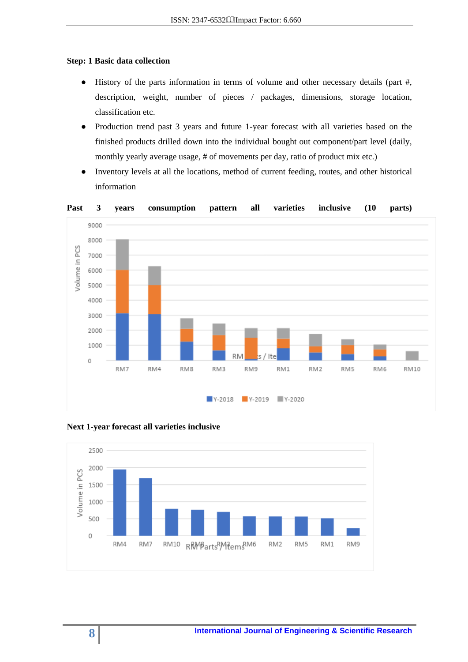#### **Step: 1 Basic data collection**

- History of the parts information in terms of volume and other necessary details (part #, description, weight, number of pieces / packages, dimensions, storage location, classification etc.
- Production trend past 3 years and future 1-year forecast with all varieties based on the finished products drilled down into the individual bought out component/part level (daily, monthly yearly average usage, # of movements per day, ratio of product mix etc.)
- Inventory levels at all the locations, method of current feeding, routes, and other historical information





#### **Next 1-year forecast all varieties inclusive**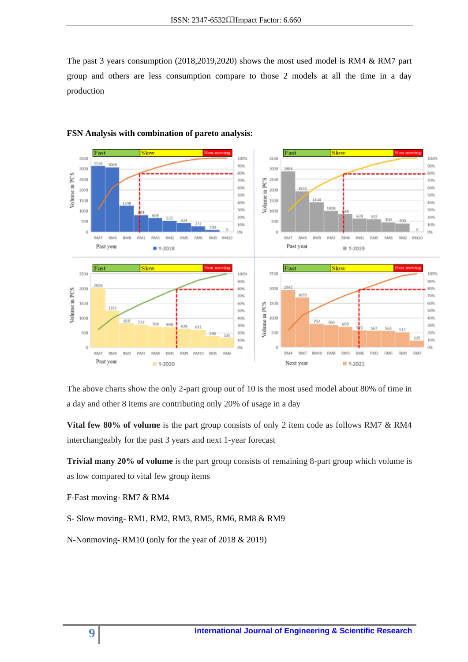The past 3 years consumption (2018,2019,2020) shows the most used model is RM4 & RM7 part group and others are less consumption compare to those 2 models at all the time in a day production



#### **FSN Analysis with combination of pareto analysis:**

The above charts show the only 2-part group out of 10 is the most used model about 80% of time in a day and other 8 items are contributing only 20% of usage in a day

**Vital few 80% of volume** is the part group consists of only 2 item code as follows RM7 & RM4 interchangeably for the past 3 years and next 1-year forecast

**Trivial many 20% of volume** is the part group consists of remaining 8-part group which volume is as low compared to vital few group items

F-Fast moving- RM7 & RM4

S- Slow moving- RM1, RM2, RM3, RM5, RM6, RM8 & RM9

N-Nonmoving- RM10 (only for the year of 2018 & 2019)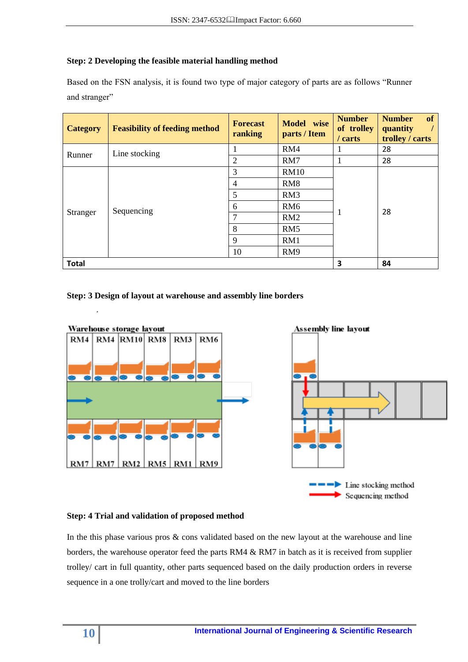# **Step: 2 Developing the feasible material handling method**

Based on the FSN analysis, it is found two type of major category of parts are as follows "Runner and stranger"

| <b>Category</b> | <b>Feasibility of feeding method</b> | <b>Forecast</b><br>ranking | Model wise<br>parts / Item | <b>Number</b><br>of trolley<br>$/$ carts | of<br><b>Number</b><br>quantity<br>$\frac{1}{2}$<br>trolley / carts |  |
|-----------------|--------------------------------------|----------------------------|----------------------------|------------------------------------------|---------------------------------------------------------------------|--|
| Runner          | Line stocking                        |                            | RM4                        |                                          | 28                                                                  |  |
|                 |                                      | $\overline{2}$             | RM7                        |                                          | 28                                                                  |  |
|                 |                                      | 3                          | <b>RM10</b>                |                                          |                                                                     |  |
|                 |                                      | $\overline{4}$             | RM <sub>8</sub>            |                                          |                                                                     |  |
|                 |                                      | 5                          | RM3                        |                                          |                                                                     |  |
|                 | Sequencing                           | 6<br>RM <sub>6</sub>       |                            |                                          |                                                                     |  |
| Stranger        |                                      | $\overline{7}$             | RM2                        |                                          | 28                                                                  |  |
|                 |                                      | 8                          | RM5                        |                                          |                                                                     |  |
|                 |                                      | $\mathbf{Q}$               | RM1                        |                                          |                                                                     |  |
|                 |                                      | 10                         | RM <sub>9</sub>            |                                          |                                                                     |  |
| <b>Total</b>    |                                      |                            |                            | 3                                        | 84                                                                  |  |

## **Step: 3 Design of layout at warehouse and assembly line borders**



## **Step: 4 Trial and validation of proposed method**

In the this phase various pros & cons validated based on the new layout at the warehouse and line borders, the warehouse operator feed the parts RM4 & RM7 in batch as it is received from supplier trolley/ cart in full quantity, other parts sequenced based on the daily production orders in reverse sequence in a one trolly/cart and moved to the line borders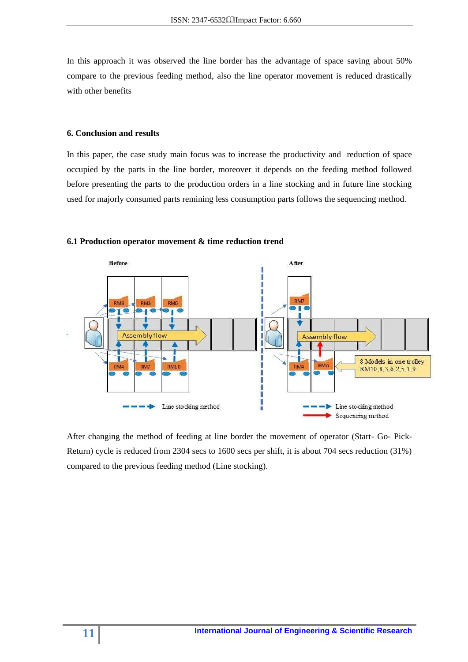In this approach it was observed the line border has the advantage of space saving about 50% compare to the previous feeding method, also the line operator movement is reduced drastically with other benefits

## **6. Conclusion and results**

In this paper, the case study main focus was to increase the productivity and reduction of space occupied by the parts in the line border, moreover it depends on the feeding method followed before presenting the parts to the production orders in a line stocking and in future line stocking used for majorly consumed parts remining less consumption parts follows the sequencing method.



#### **6.1 Production operator movement & time reduction trend**

After changing the method of feeding at line border the movement of operator (Start- Go- Pick-Return) cycle is reduced from 2304 secs to 1600 secs per shift, it is about 704 secs reduction (31%) compared to the previous feeding method (Line stocking).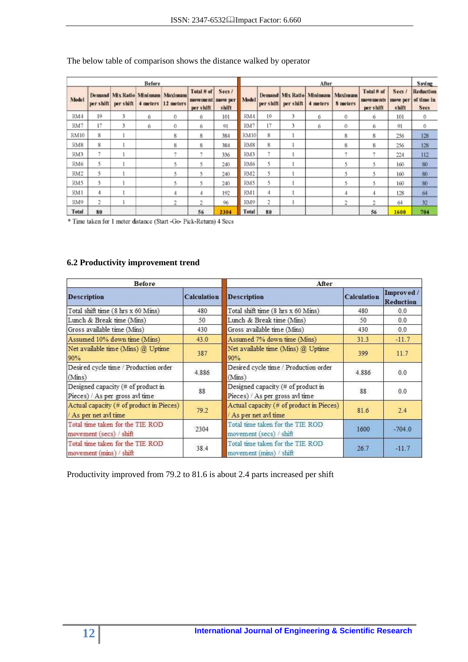|                 |           |           | <b>Before</b> |                                                        |                                     |                            | After           |           |           |                                      |                            |                                     |                             | Saving                                 |
|-----------------|-----------|-----------|---------------|--------------------------------------------------------|-------------------------------------|----------------------------|-----------------|-----------|-----------|--------------------------------------|----------------------------|-------------------------------------|-----------------------------|----------------------------------------|
| Model           | per shift | per shift |               | Demand Mix Ratio Minimum Maximum<br>4 meters 12 meters | Total # of<br>movement<br>per shift | Secs/<br>move per<br>shift | <b>Model</b>    | per shift | per shift | Demand Mix Ratio Minimum<br>4 meters | Maximum<br><b>8</b> meters | Total# of<br>movements<br>per shift | Secs /<br>move per<br>shift | Reduction<br>of time in<br><b>Secs</b> |
| RM4             | 19        | 3         | 6             | 0                                                      | 6                                   | 101                        | RM4             | 19        | 3         | 6                                    | 0                          | 6                                   | 101                         | 0                                      |
| RM7             | 17        | 3         | 6             | 0                                                      | 6                                   | 91                         | RM7             | 17        | 3         | б                                    | 0                          | б                                   | 91                          | 0                                      |
| <b>RM10</b>     | 8         |           |               | 8                                                      | 8                                   | 384                        | <b>RM10</b>     | 8         |           |                                      | 8                          | 8                                   | 256                         | 128                                    |
| RM8             | 8         |           |               | 8                                                      | 8                                   | 384                        | RM <sub>8</sub> | 8         |           |                                      | 8                          | 8                                   | 256                         | 128                                    |
| RM3             | ٠         |           |               | 7                                                      | z                                   | 336                        | RM3             | m         |           |                                      | 7                          | m                                   | 224                         | 112                                    |
| RM6             |           |           |               | 5                                                      | 5                                   | 240                        | RM6             |           |           |                                      | 5                          |                                     | 160                         | 80                                     |
| RM <sub>2</sub> | 5.        |           |               | 5                                                      | 5                                   | 240                        | RM <sub>2</sub> | 5         |           |                                      | 5                          |                                     | 160                         | 80                                     |
| RM <sub>5</sub> |           |           |               | 5                                                      | 5                                   | 240                        | RM5             | ٢         |           |                                      | 5                          |                                     | 160                         | 80                                     |
| RM1             | 4         |           |               | 4                                                      | 4                                   | 192                        | RM1             | 4         |           |                                      | 4                          |                                     | 128                         | 64                                     |
| RM9             | 2         |           |               | 2                                                      | 2                                   | 96                         | RM9             | 2         |           |                                      | 2                          | ŋ.                                  | 64                          | 32                                     |
| Total           | 80        |           |               |                                                        | 56                                  | 2304                       | Total           | 80        |           |                                      |                            | 56                                  | 1600                        | 704                                    |

## The below table of comparison shows the distance walked by operator

\* Time taken for 1 meter distance (Start -Go- Pick-Return) 4 Secs

# **6.2 Productivity improvement trend**

| <b>Before</b>                                                         |                    | After                                                                 |                    |                         |  |  |
|-----------------------------------------------------------------------|--------------------|-----------------------------------------------------------------------|--------------------|-------------------------|--|--|
| <b>Description</b>                                                    | <b>Calculation</b> | <b>Description</b>                                                    | <b>Calculation</b> | Improved /<br>Reduction |  |  |
| Total shift time (8 hrs x 60 Mins)                                    | 480                | Total shift time (8 hrs x 60 Mins)                                    | 480                | 0.0                     |  |  |
| Lunch & Break time (Mins)                                             | 50                 | Lunch & Break time (Mins)                                             | 50                 | 0.0                     |  |  |
| Gross available time (Mins)                                           | 430                | Gross available time (Mins)                                           | 430                | 0.0                     |  |  |
| Assumed 10% down time (Mins)                                          | 43.0               | Assumed 7% down time (Mins)                                           | 31.3               | $-11.7$                 |  |  |
| Net available time (Mins) @ Uptime<br>90%                             | 387                | Net available time (Mins) @ Uptime<br>90%                             | 399                | 11.7                    |  |  |
| Desired cycle time / Production order<br>(Mins)                       | 4.886              | Desired cycle time / Production order<br>(Mins)                       | 4.886              | 0.0                     |  |  |
| Designed capacity (# of product in<br>Pieces) / As per gross avl time | 88                 | Designed capacity (# of product in<br>Pieces) / As per gross avl time | 88                 | 0.0                     |  |  |
| Actual capacity (# of product in Pieces)<br>As per net avi time       | 79.2               | Actual capacity (# of product in Pieces)<br>As per net avl time       | 81.6               | 2.4                     |  |  |
| Total time taken for the TIE ROD<br>movement (secs) / shift           | 2304               | Total time taken for the TIE ROD<br>movement (secs) / shift           | 1600               | $-704.0$                |  |  |
| Total time taken for the TIE ROD<br>movement (mins) / shift           | 38.4               | Total time taken for the TIE ROD<br>movement (mins) / shift           | 26.7               | $-11.7$                 |  |  |

Productivity improved from 79.2 to 81.6 is about 2.4 parts increased per shift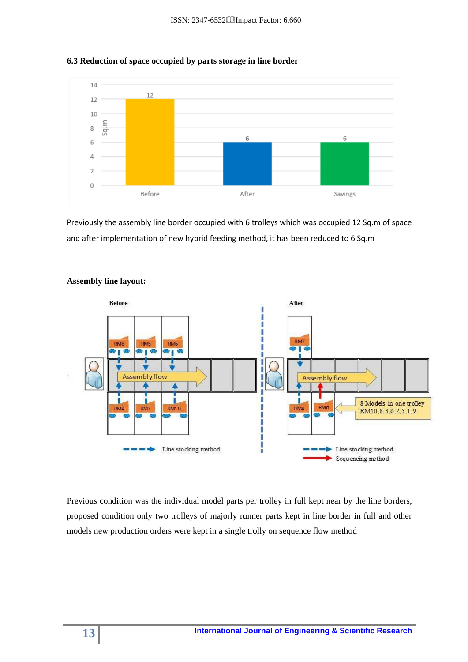

## **6.3 Reduction of space occupied by parts storage in line border**

Previously the assembly line border occupied with 6 trolleys which was occupied 12 Sq.m of space and after implementation of new hybrid feeding method, it has been reduced to 6 Sq.m



## **Assembly line layout:**

Previous condition was the individual model parts per trolley in full kept near by the line borders, proposed condition only two trolleys of majorly runner parts kept in line border in full and other models new production orders were kept in a single trolly on sequence flow method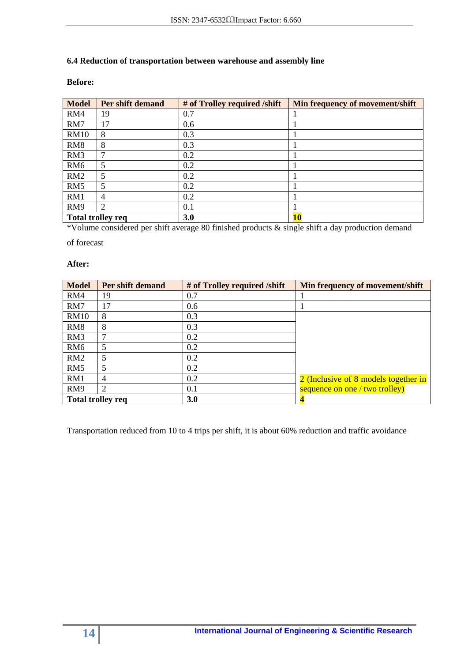## **6.4 Reduction of transportation between warehouse and assembly line**

## **Before:**

| <b>Model</b>    | Per shift demand         | # of Trolley required /shift | Min frequency of movement/shift |
|-----------------|--------------------------|------------------------------|---------------------------------|
| RM4             | 19                       | 0.7                          |                                 |
| RM7             | 17                       | 0.6                          |                                 |
| <b>RM10</b>     | 8                        | 0.3                          |                                 |
| RM <sub>8</sub> | 8                        | 0.3                          |                                 |
| RM3             | 7                        | 0.2                          |                                 |
| RM <sub>6</sub> | 5                        | 0.2                          |                                 |
| RM2             | 5                        | 0.2                          |                                 |
| RM <sub>5</sub> | 5                        | 0.2                          |                                 |
| RM1             | 4                        | 0.2                          |                                 |
| RM9             | $\overline{2}$           | 0.1                          |                                 |
|                 | <b>Total trolley req</b> | <b>3.0</b>                   | 10                              |

\*Volume considered per shift average 80 finished products & single shift a day production demand

of forecast

#### **After:**

| <b>Model</b>             | Per shift demand | # of Trolley required /shift | Min frequency of movement/shift      |
|--------------------------|------------------|------------------------------|--------------------------------------|
| RM4                      | 19               | 0.7                          |                                      |
| RM7                      | 17               | 0.6                          |                                      |
| <b>RM10</b>              | 8                | 0.3                          |                                      |
| RM <sub>8</sub>          | 8                | 0.3                          |                                      |
| RM3                      | 7                | 0.2                          |                                      |
| RM <sub>6</sub>          | 5                | 0.2                          |                                      |
| RM2                      | 5                | 0.2                          |                                      |
| RM <sub>5</sub>          | 5                | 0.2                          |                                      |
| RM1                      | 4                | 0.2                          | 2 (Inclusive of 8 models together in |
| RM9                      | 2                | 0.1                          | sequence on one / two trolley)       |
| <b>Total trolley req</b> |                  | <b>3.0</b>                   |                                      |

Transportation reduced from 10 to 4 trips per shift, it is about 60% reduction and traffic avoidance